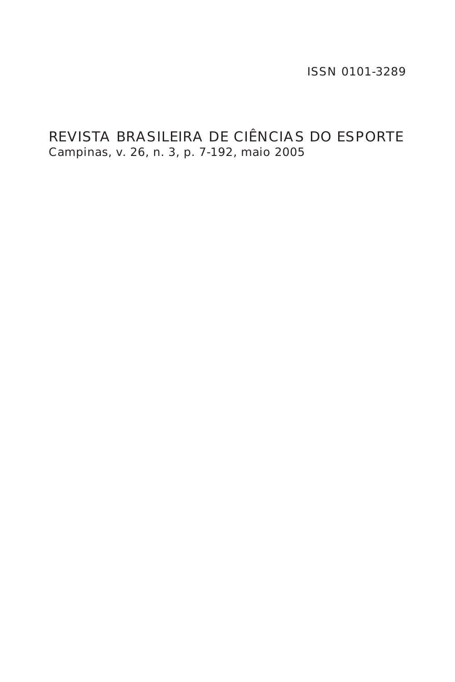ISSN 0101-3289

# REVISTA BRASILEIRA DE CIÊNCIAS DO ESPORTE Campinas, v. 26, n. 3, p. 7-192, maio 2005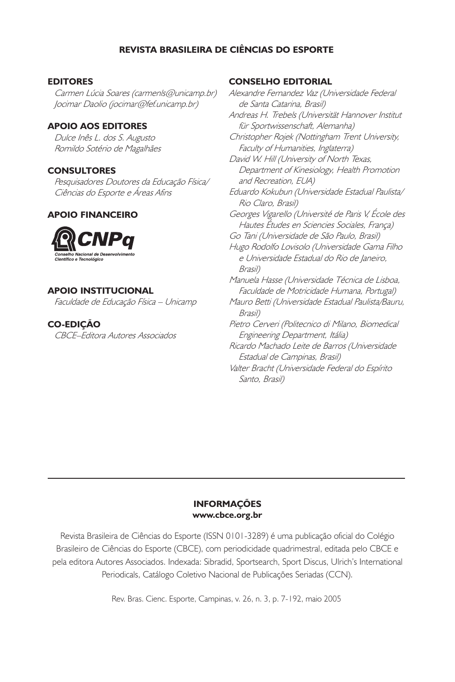## REVISTA BRASILEIRA DE CIÊNCIAS DO ESPORTE

#### EDITORES

Carmen Lúcia Soares (carmenls@unicamp.br) Jocimar Daolio (jocimar@fef.unicamp.br)

#### APOIO AOS EDITORES

Dulce Inês L. dos S. Augusto Romildo Sotério de Magalhães

#### **CONSULTORES**

Pesquisadores Doutores da Educação Física/ Ciências do Esporte e Áreas Afins

## APOIO FINANCEIRO



#### APOIO INSTITUCIONAL

Faculdade de Educação Física – Unicamp

#### CO-EDIÇÃO

CBCE–Editora Autores Associados

#### CONSELHO EDITORIAL

Alexandre Fernandez Vaz (Universidade Federal de Santa Catarina, Brasil) Andreas H. Trebels (Universität Hannover Institut für Sportwissenschaft, Alemanha) Christopher Rojek (Nottingham Trent University, Faculty of Humanities, Inglaterra) David W. Hill (University of North Texas, Department of Kinesiology, Health Promotion and Recreation, EUA) Eduardo Kokubun (Universidade Estadual Paulista/ Rio Claro, Brasil) Georges Vigarello (Université de Paris V, École des Hautes Études en Sciencies Sociales, França) Go Tani (Universidade de São Paulo, Brasil) Hugo Rodolfo Lovisolo (Universidade Gama Filho e Universidade Estadual do Rio de Janeiro, Brasil) Manuela Hasse (Universidade Técnica de Lisboa, Faculdade de Motricidade Humana, Portugal) Mauro Betti (Universidade Estadual Paulista/Bauru, Brasil) Pietro Cerveri (Politecnico di Milano, Biomedical Engineering Department, Itália) Ricardo Machado Leite de Barros (Universidade Estadual de Campinas, Brasil) Valter Bracht (Universidade Federal do Espírito Santo, Brasil)

#### INFORMAÇÕES www.cbce.org.br

Revista Brasileira de Ciências do Esporte (ISSN 0101-3289) é uma publicação oficial do Colégio Brasileiro de Ciências do Esporte (CBCE), com periodicidade quadrimestral, editada pelo CBCE e pela editora Autores Associados. Indexada: Sibradid, Sportsearch, Sport Discus, Ulrich's International Periodicals, Catálogo Coletivo Nacional de Publicações Seriadas (CCN).

Rev. Bras. Cienc. Esporte, Campinas, v. 26, n. 3, p. 7-192, maio 2005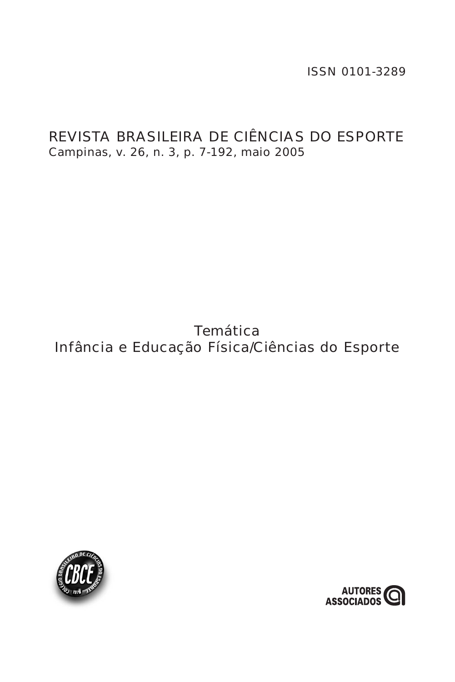ISSN 0101-3289

# REVISTA BRASILEIRA DE CIÊNCIAS DO ESPORTE Campinas, v. 26, n. 3, p. 7-192, maio 2005

# **Temática** Infância e Educação Física/Ciências do Esporte



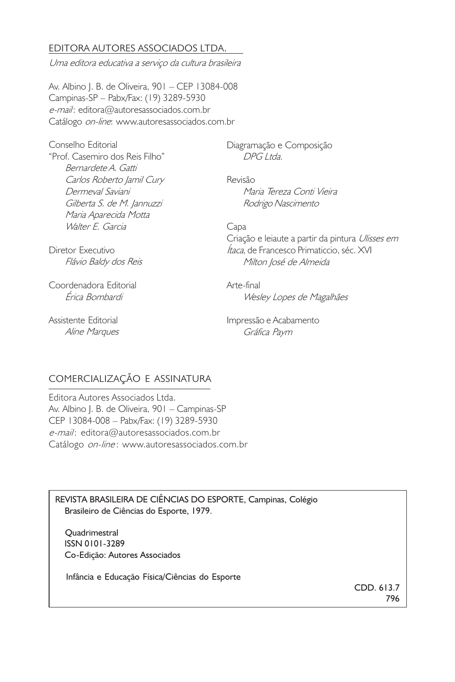## EDITORA AUTORES ASSOCIADOS LTDA.

Uma editora educativa a serviço da cultura brasileira

Av. Albino J. B. de Oliveira, 901 – CEP 13084-008 Campinas-SP – Pabx/Fax: (19) 3289-5930 e-mail: editora@autoresassociados.com.br Catálogo on-line: www.autoresassociados.com.br

Conselho Editorial "Prof. Casemiro dos Reis Filho" Bernardete A. Gatti Carlos Roberto Jamil Cury Dermeval Saviani Gilberta S. de M. Jannuzzi Maria Aparecida Motta Walter E. Garcia

Diagramação e Composição DPG Ltda.

Revisão Maria Tereza Conti Vieira Rodrigo Nascimento

Diretor Executivo Flávio Baldy dos Reis

Coordenadora Editorial Érica Bombardi

Assistente Editorial Aline Marques Capa

Criação e leiaute a partir da pintura Ulisses em Ítaca, de Francesco Primaticcio, séc. XVI Milton José de Almeida

Arte-final Wesley Lopes de Magalhães

Impressão e Acabamento Gráfica Paym

## COMERCIALIZAÇÃO E ASSINATURA

Editora Autores Associados Ltda. Av. Albino J. B. de Oliveira, 901 – Campinas-SP CEP 13084-008 – Pabx/Fax: (19) 3289-5930 e-mail: editora@autoresassociados.com.br Catálogo on-line: www.autoresassociados.com.br

REVISTA BRASILEIRA DE CIÊNCIAS DO ESPORTE, Campinas, Colégio Brasileiro de Ciências do Esporte, 1979.

**Quadrimestral**  ISSN 0101-3289 Co-Edição: Autores Associados

Infância e Educação Física/Ciências do Esporte

CDD. 613.7 796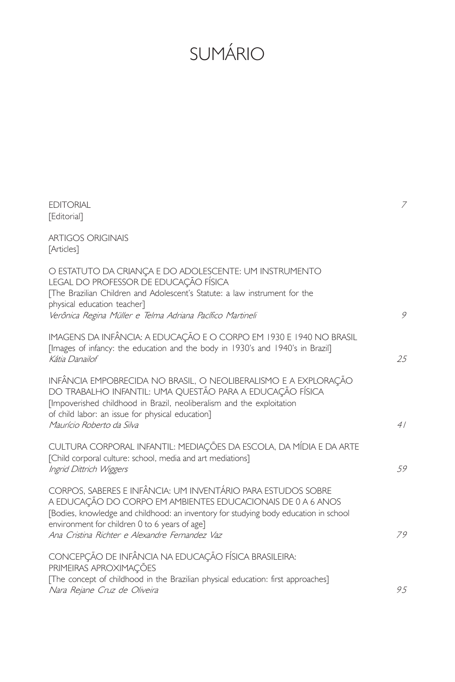# SUMÁRIO

| <b>EDITORIAL</b><br>[Editorial]                                                                                                                                                                                                                                                                                        | 7   |
|------------------------------------------------------------------------------------------------------------------------------------------------------------------------------------------------------------------------------------------------------------------------------------------------------------------------|-----|
| <b>ARTIGOS ORIGINAIS</b><br>[Articles]                                                                                                                                                                                                                                                                                 |     |
| O ESTATUTO DA CRIANÇA E DO ADOLESCENTE: UM INSTRUMENTO<br>LEGAL DO PROFESSOR DE EDUCAÇÃO FÍSICA<br>The Brazilian Children and Adolescent's Statute: a law instrument for the<br>physical education teacher]<br>Verônica Regina Müller e Telma Adriana Pacífico Martineli                                               | 9   |
| IMAGENS DA INFÂNCIA: A EDUCAÇÃO E O CORPO EM 1930 E 1940 NO BRASIL<br>[Images of infancy: the education and the body in 1930's and 1940's in Brazil]<br>Kátia Danailof                                                                                                                                                 | 25  |
| INFÂNCIA EMPOBRECIDA NO BRASIL, O NEOLIBERALISMO E A EXPLORAÇÃO<br>DO TRABALHO INFANTIL: UMA QUESTÃO PARA A EDUCAÇÃO FÍSICA<br>[Impoverished childhood in Brazil, neoliberalism and the exploitation<br>of child labor: an issue for physical education]<br>Maurício Roberto da Silva                                  | 41  |
| CULTURA CORPORAL INFANTIL: MEDIAÇÕES DA ESCOLA, DA MÍDIA E DA ARTE<br>[Child corporal culture: school, media and art mediations]<br>Ingrid Dittrich Wiggers                                                                                                                                                            | .59 |
| CORPOS. SABERES E INFÂNCIA: UM INVENTÁRIO PARA ESTUDOS SOBRE<br>A EDUCAÇÃO DO CORPO EM AMBIENTES EDUCACIONAIS DE 0 A 6 ANOS<br>[Bodies, knowledge and childhood: an inventory for studying body education in school<br>environment for children 0 to 6 years of age]<br>Ana Cristina Richter e Alexandre Fernandez Vaz | 79  |
| CONCEPÇÃO DE INFÂNCIA NA EDUCAÇÃO FÍSICA BRASILEIRA:<br>PRIMEIRAS APROXIMAÇÕES<br>[The concept of childhood in the Brazilian physical education: first approaches]<br>Nara Rejane Cruz de Oliveira                                                                                                                     | 9.5 |